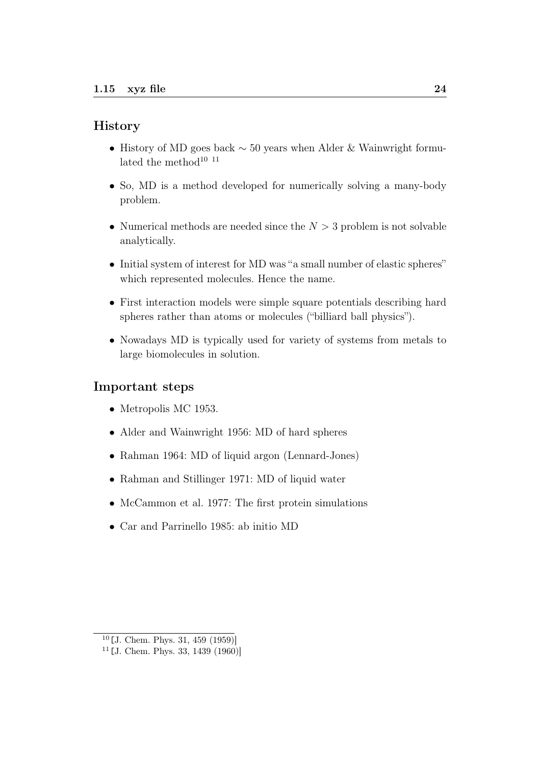## **History**

- History of MD goes back  $\sim$  50 years when Alder & Wainwright formulated the method<sup>10 11</sup>
- So, MD is a method developed for numerically solving a many-body problem.
- Numerical methods are needed since the  $N > 3$  problem is not solvable analytically.
- Initial system of interest for MD was "a small number of elastic spheres" which represented molecules. Hence the name.
- First interaction models were simple square potentials describing hard spheres rather than atoms or molecules ("billiard ball physics").
- Nowadays MD is typically used for variety of systems from metals to large biomolecules in solution.

## Important steps

- Metropolis MC 1953.
- Alder and Wainwright 1956: MD of hard spheres
- Rahman 1964: MD of liquid argon (Lennard-Jones)
- Rahman and Stillinger 1971: MD of liquid water
- McCammon et al. 1977: The first protein simulations
- Car and Parrinello 1985: ab initio MD

 $10$ [J. Chem. Phys. 31, 459 (1959)]

 $11$ [J. Chem. Phys. 33, 1439 (1960)]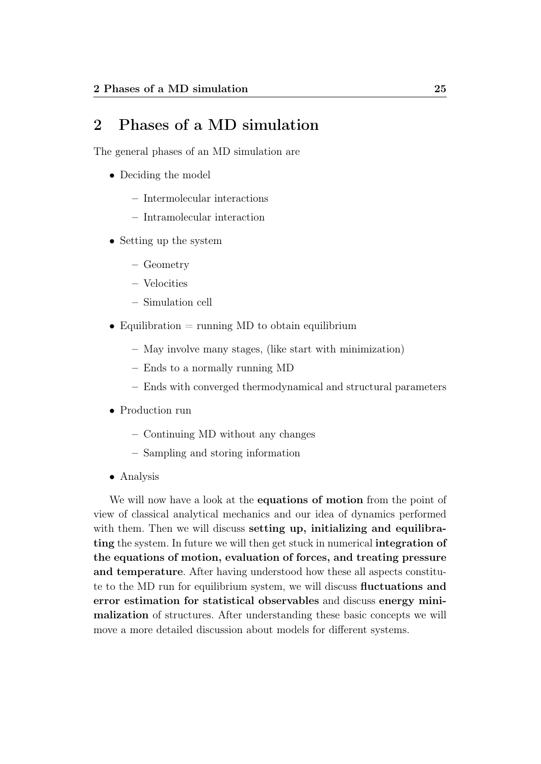# 2 Phases of a MD simulation

The general phases of an MD simulation are

- Deciding the model
	- Intermolecular interactions
	- Intramolecular interaction
- Setting up the system
	- Geometry
	- Velocities
	- Simulation cell
- Equilibration  $=$  running MD to obtain equilibrium
	- May involve many stages, (like start with minimization)
	- Ends to a normally running MD
	- Ends with converged thermodynamical and structural parameters
- Production run
	- Continuing MD without any changes
	- Sampling and storing information
- Analysis

We will now have a look at the **equations of motion** from the point of view of classical analytical mechanics and our idea of dynamics performed with them. Then we will discuss setting up, initializing and equilibrating the system. In future we will then get stuck in numerical integration of the equations of motion, evaluation of forces, and treating pressure and temperature. After having understood how these all aspects constitute to the MD run for equilibrium system, we will discuss fluctuations and error estimation for statistical observables and discuss energy minimalization of structures. After understanding these basic concepts we will move a more detailed discussion about models for different systems.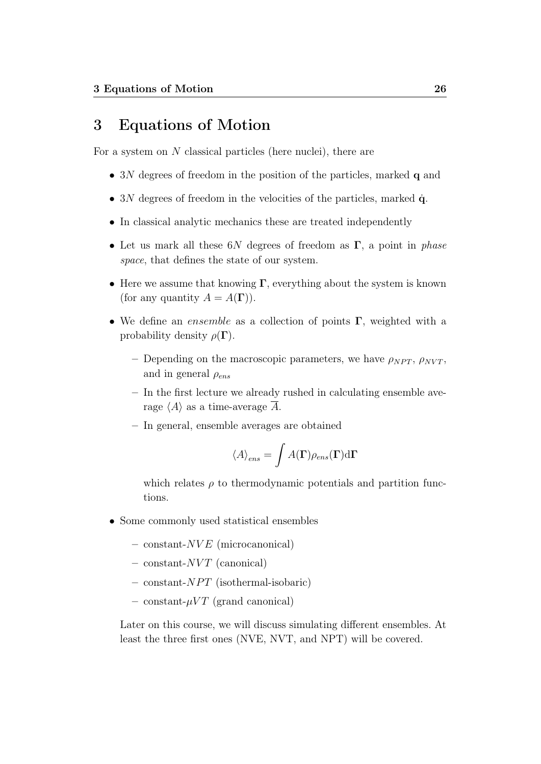# 3 Equations of Motion

For a system on  $N$  classical particles (here nuclei), there are

- 3N degrees of freedom in the position of the particles, marked **q** and
- 3N degrees of freedom in the velocities of the particles, marked  $\dot{q}$ .
- In classical analytic mechanics these are treated independently
- Let us mark all these  $6N$  degrees of freedom as  $\Gamma$ , a point in phase space, that defines the state of our system.
- Here we assume that knowing  $\Gamma$ , everything about the system is known (for any quantity  $A = A(\Gamma)$ ).
- We define an ensemble as a collection of points  $\Gamma$ , weighted with a probability density  $\rho(\Gamma)$ .
	- Depending on the macroscopic parameters, we have  $\rho_{NPT}, \rho_{NVT}$ , and in general  $\rho_{ens}$
	- In the first lecture we already rushed in calculating ensemble average  $\langle A \rangle$  as a time-average A.
	- In general, ensemble averages are obtained

$$
\langle A \rangle_{ens} = \int A(\mathbf{\Gamma}) \rho_{ens}(\mathbf{\Gamma}) \mathrm{d}\mathbf{\Gamma}
$$

which relates  $\rho$  to thermodynamic potentials and partition functions.

- Some commonly used statistical ensembles
	- $-$  constant- $NVE$  (microcanonical)
	- $-$  constant- $NVT$  (canonical)
	- $-$  constant- $NPT$  (isothermal-isobaric)
	- constant- $\mu VT$  (grand canonical)

Later on this course, we will discuss simulating different ensembles. At least the three first ones (NVE, NVT, and NPT) will be covered.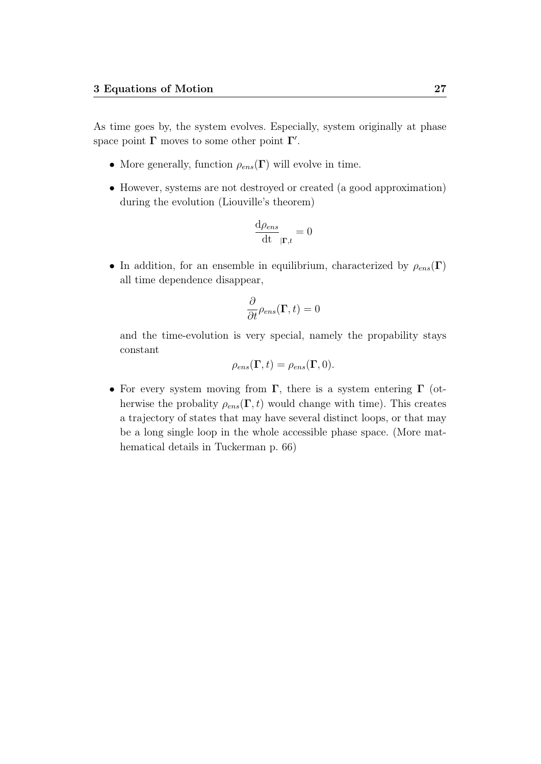As time goes by, the system evolves. Especially, system originally at phase space point  $\Gamma$  moves to some other point  $\Gamma'$ .

- More generally, function  $\rho_{ens}(\Gamma)$  will evolve in time.
- However, systems are not destroyed or created (a good approximation) during the evolution (Liouville's theorem)

$$
\frac{\mathrm{d}\rho_{ens}}{\mathrm{d}t}_{|\mathbf{\Gamma},t} = 0
$$

• In addition, for an ensemble in equilibrium, characterized by  $\rho_{ens}(\Gamma)$ all time dependence disappear,

$$
\frac{\partial}{\partial t}\rho_{ens}(\mathbf{\Gamma},t)=0
$$

and the time-evolution is very special, namely the propability stays constant

$$
\rho_{ens}(\mathbf{\Gamma},t) = \rho_{ens}(\mathbf{\Gamma},0).
$$

• For every system moving from  $\Gamma$ , there is a system entering  $\Gamma$  (otherwise the probality  $\rho_{ens}(\Gamma, t)$  would change with time). This creates a trajectory of states that may have several distinct loops, or that may be a long single loop in the whole accessible phase space. (More mathematical details in Tuckerman p. 66)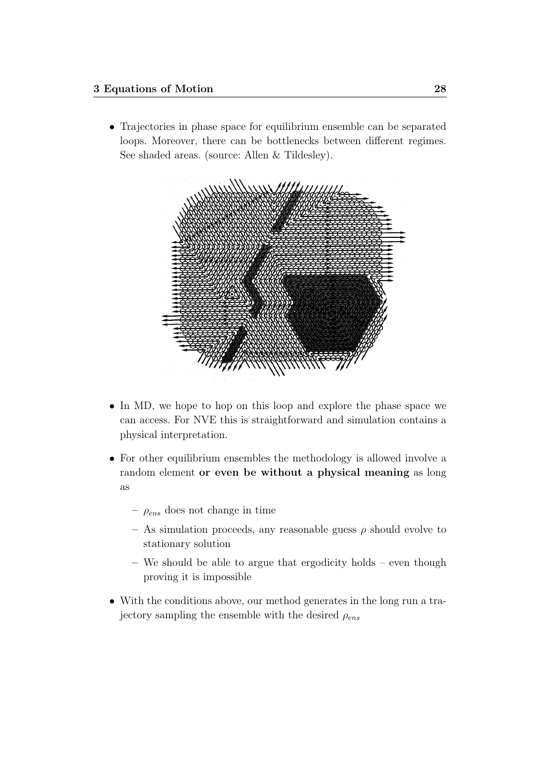• Trajectories in phase space for equilibrium ensemble can be separated loops. Moreover, there can be bottlenecks between different regimes. See shaded areas. (source: Allen & Tildesley).



- In MD, we hope to hop on this loop and explore the phase space we can access. For NVE this is straightforward and simulation contains a physical interpretation.
- For other equilibrium ensembles the methodology is allowed involve a random element or even be without a physical meaning as long as
	- $\rho_{ens}$  does not change in time
	- As simulation proceeds, any reasonable guess  $\rho$  should evolve to stationary solution
	- We should be able to argue that ergodicity holds even though proving it is impossible
- With the conditions above, our method generates in the long run a trajectory sampling the ensemble with the desired  $\rho_{ens}$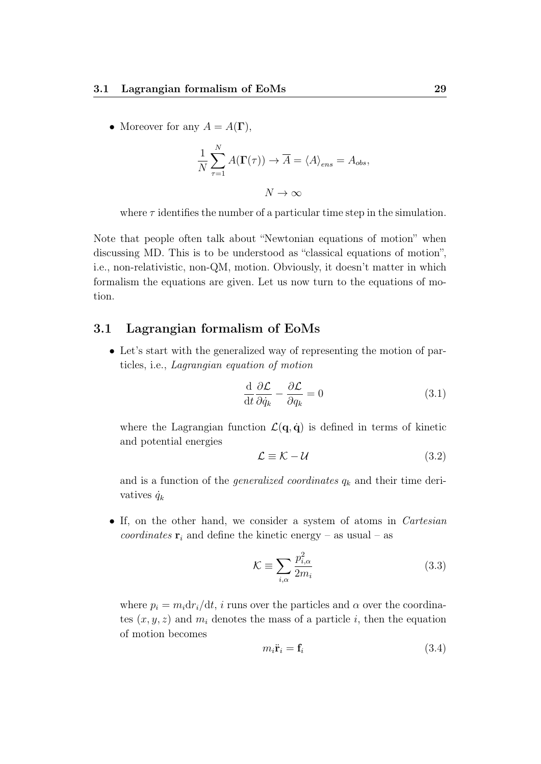• Moreover for any  $A = A(\Gamma)$ ,

$$
\frac{1}{N} \sum_{\tau=1}^{N} A(\Gamma(\tau)) \to \overline{A} = \langle A \rangle_{ens} = A_{obs},
$$

$$
N \to \infty
$$

where  $\tau$  identifies the number of a particular time step in the simulation.

Note that people often talk about "Newtonian equations of motion" when discussing MD. This is to be understood as "classical equations of motion", i.e., non-relativistic, non-QM, motion. Obviously, it doesn't matter in which formalism the equations are given. Let us now turn to the equations of motion.

## 3.1 Lagrangian formalism of EoMs

• Let's start with the generalized way of representing the motion of particles, i.e., Lagrangian equation of motion

$$
\frac{\mathrm{d}}{\mathrm{d}t}\frac{\partial \mathcal{L}}{\partial \dot{q}_k} - \frac{\partial \mathcal{L}}{\partial q_k} = 0 \tag{3.1}
$$

where the Lagrangian function  $\mathcal{L}(\mathbf{q}, \dot{\mathbf{q}})$  is defined in terms of kinetic and potential energies

$$
\mathcal{L} \equiv \mathcal{K} - \mathcal{U} \tag{3.2}
$$

and is a function of the *generalized coordinates*  $q_k$  and their time derivatives  $\dot{q}_k$ 

• If, on the other hand, we consider a system of atoms in *Cartesian* coordinates  $\mathbf{r}_i$  and define the kinetic energy – as usual – as

$$
\mathcal{K} \equiv \sum_{i,\alpha} \frac{p_{i,\alpha}^2}{2m_i} \tag{3.3}
$$

where  $p_i = m_i dr_i/dt$ , i runs over the particles and  $\alpha$  over the coordinates  $(x, y, z)$  and  $m_i$  denotes the mass of a particle i, then the equation of motion becomes

$$
m_i \ddot{\mathbf{r}}_i = \mathbf{f}_i \tag{3.4}
$$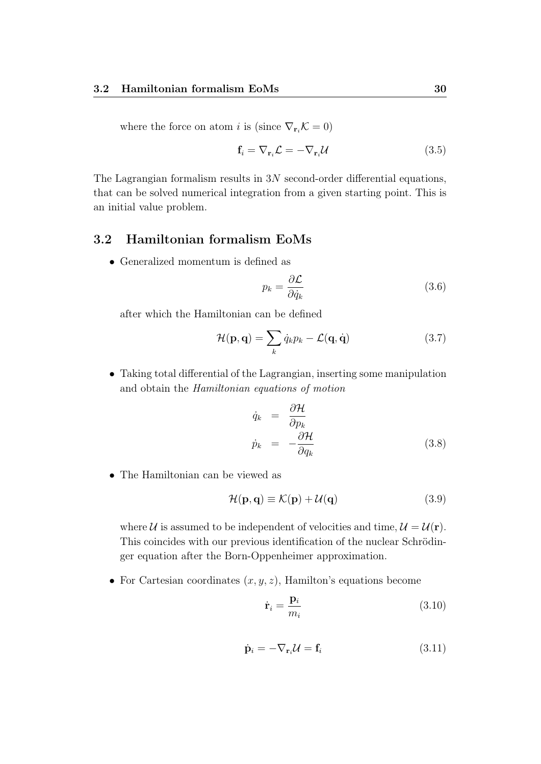where the force on atom i is (since  $\nabla_{\mathbf{r}_i} \mathcal{K} = 0$ )

$$
\mathbf{f}_i = \nabla_{\mathbf{r}_i} \mathcal{L} = -\nabla_{\mathbf{r}_i} \mathcal{U}
$$
\n(3.5)

The Lagrangian formalism results in 3N second-order differential equations, that can be solved numerical integration from a given starting point. This is an initial value problem.

## 3.2 Hamiltonian formalism EoMs

• Generalized momentum is defined as

$$
p_k = \frac{\partial \mathcal{L}}{\partial \dot{q}_k} \tag{3.6}
$$

after which the Hamiltonian can be defined

$$
\mathcal{H}(\mathbf{p}, \mathbf{q}) = \sum_{k} \dot{q}_{k} p_{k} - \mathcal{L}(\mathbf{q}, \dot{\mathbf{q}})
$$
(3.7)

• Taking total differential of the Lagrangian, inserting some manipulation and obtain the Hamiltonian equations of motion

$$
\dot{q}_k = \frac{\partial \mathcal{H}}{\partial p_k}
$$
\n
$$
\dot{p}_k = -\frac{\partial \mathcal{H}}{\partial q_k}
$$
\n(3.8)

• The Hamiltonian can be viewed as

$$
\mathcal{H}(\mathbf{p}, \mathbf{q}) \equiv \mathcal{K}(\mathbf{p}) + \mathcal{U}(\mathbf{q}) \tag{3.9}
$$

where U is assumed to be independent of velocities and time,  $\mathcal{U} = \mathcal{U}(\mathbf{r})$ . This coincides with our previous identification of the nuclear Schrödinger equation after the Born-Oppenheimer approximation.

• For Cartesian coordinates  $(x, y, z)$ , Hamilton's equations become

$$
\dot{\mathbf{r}}_i = \frac{\mathbf{p}_i}{m_i} \tag{3.10}
$$

$$
\dot{\mathbf{p}}_i = -\nabla_{\mathbf{r}_i} \mathcal{U} = \mathbf{f}_i \tag{3.11}
$$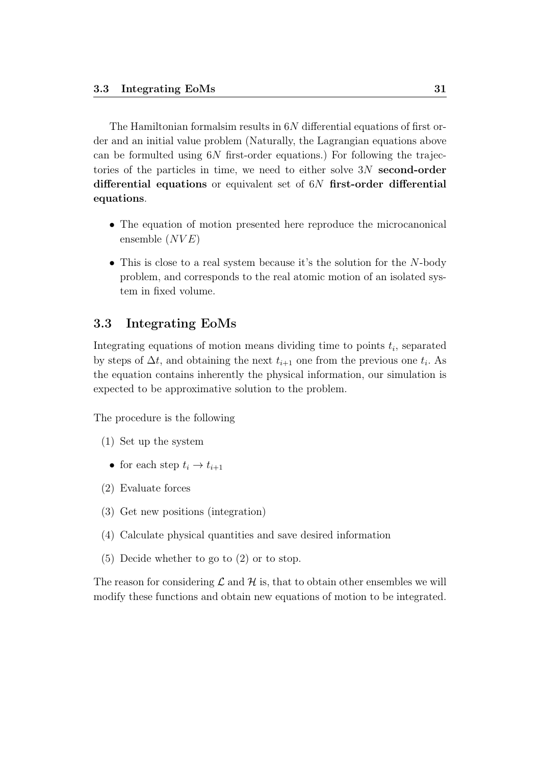The Hamiltonian formalsim results in  $6N$  differential equations of first order and an initial value problem (Naturally, the Lagrangian equations above can be formulted using  $6N$  first-order equations.) For following the trajectories of the particles in time, we need to either solve 3N second-order differential equations or equivalent set of 6N first-order differential equations.

- The equation of motion presented here reproduce the microcanonical ensemble  $(NVE)$
- $\bullet$  This is close to a real system because it's the solution for the N-body problem, and corresponds to the real atomic motion of an isolated system in fixed volume.

## 3.3 Integrating EoMs

Integrating equations of motion means dividing time to points  $t_i$ , separated by steps of  $\Delta t$ , and obtaining the next  $t_{i+1}$  one from the previous one  $t_i$ . As the equation contains inherently the physical information, our simulation is expected to be approximative solution to the problem.

The procedure is the following

- (1) Set up the system
	- for each step  $t_i \rightarrow t_{i+1}$
- (2) Evaluate forces
- (3) Get new positions (integration)
- (4) Calculate physical quantities and save desired information
- (5) Decide whether to go to (2) or to stop.

The reason for considering  $\mathcal L$  and  $\mathcal H$  is, that to obtain other ensembles we will modify these functions and obtain new equations of motion to be integrated.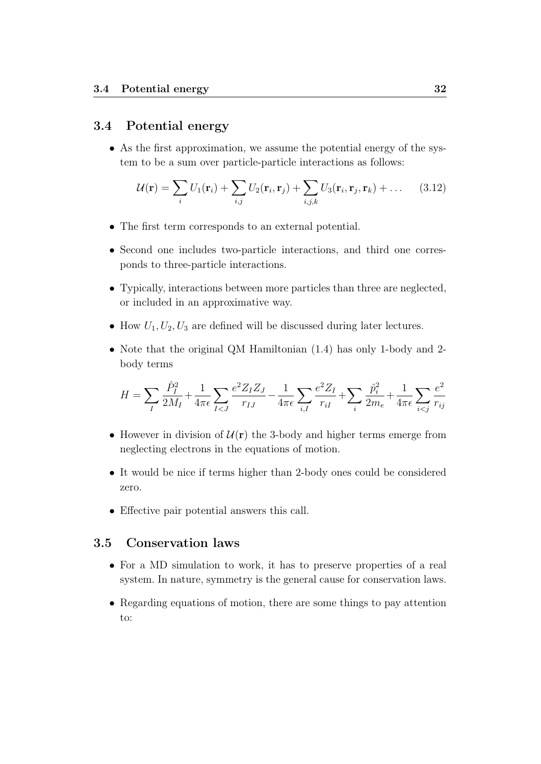# 3.4 Potential energy

• As the first approximation, we assume the potential energy of the system to be a sum over particle-particle interactions as follows:

$$
\mathcal{U}(\mathbf{r}) = \sum_{i} U_1(\mathbf{r}_i) + \sum_{i,j} U_2(\mathbf{r}_i, \mathbf{r}_j) + \sum_{i,j,k} U_3(\mathbf{r}_i, \mathbf{r}_j, \mathbf{r}_k) + \dots \quad (3.12)
$$

- The first term corresponds to an external potential.
- Second one includes two-particle interactions, and third one corresponds to three-particle interactions.
- Typically, interactions between more particles than three are neglected, or included in an approximative way.
- How  $U_1, U_2, U_3$  are defined will be discussed during later lectures.
- Note that the original QM Hamiltonian (1.4) has only 1-body and 2 body terms

$$
H = \sum_{I} \frac{\hat{P}_{I}^2}{2M_{I}} + \frac{1}{4\pi\epsilon}\sum_{I < J} \frac{e^2 Z_I Z_J}{r_{IJ}} - \frac{1}{4\pi\epsilon}\sum_{i,I} \frac{e^2 Z_I}{r_{iI}} + \sum_{i} \frac{\hat{p}_{i}^2}{2m_e} + \frac{1}{4\pi\epsilon}\sum_{i < j} \frac{e^2}{r_{ij}}
$$

- However in division of  $\mathcal{U}(\mathbf{r})$  the 3-body and higher terms emerge from neglecting electrons in the equations of motion.
- It would be nice if terms higher than 2-body ones could be considered zero.
- Effective pair potential answers this call.

## 3.5 Conservation laws

- For a MD simulation to work, it has to preserve properties of a real system. In nature, symmetry is the general cause for conservation laws.
- Regarding equations of motion, there are some things to pay attention to: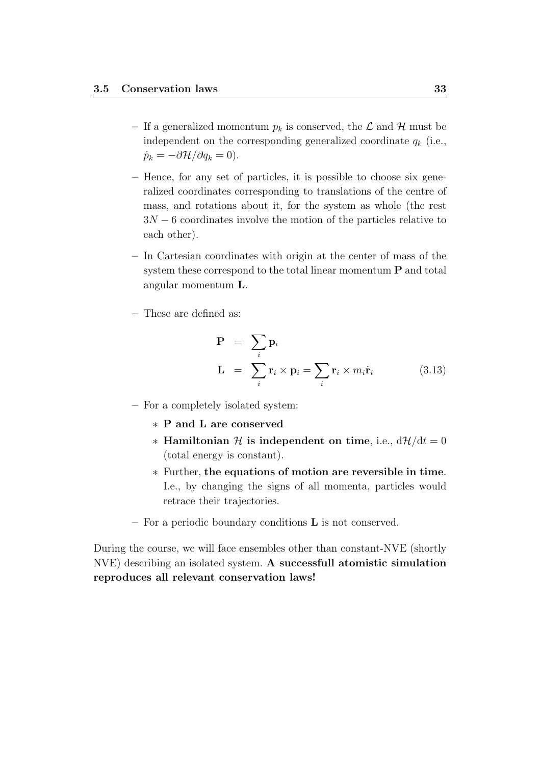- If a generalized momentum  $p_k$  is conserved, the  $\mathcal L$  and  $\mathcal H$  must be independent on the corresponding generalized coordinate  $q_k$  (i.e.,  $\dot{p}_k = -\partial \mathcal{H}/\partial q_k = 0$ .
- Hence, for any set of particles, it is possible to choose six generalized coordinates corresponding to translations of the centre of mass, and rotations about it, for the system as whole (the rest  $3N - 6$  coordinates involve the motion of the particles relative to each other).
- In Cartesian coordinates with origin at the center of mass of the system these correspond to the total linear momentum P and total angular momentum L.
- These are defined as:

$$
\mathbf{P} = \sum_{i} \mathbf{p}_i
$$
  

$$
\mathbf{L} = \sum_{i} \mathbf{r}_i \times \mathbf{p}_i = \sum_{i} \mathbf{r}_i \times m_i \dot{\mathbf{r}}_i
$$
 (3.13)

- For a completely isolated system:
	- ∗ P and L are conserved
	- ∗ Hamiltonian H is independent on time, i.e.,  $d\mathcal{H}/dt = 0$ (total energy is constant).
	- ∗ Further, the equations of motion are reversible in time. I.e., by changing the signs of all momenta, particles would retrace their trajectories.
- For a periodic boundary conditions L is not conserved.

During the course, we will face ensembles other than constant-NVE (shortly NVE) describing an isolated system. A successfull atomistic simulation reproduces all relevant conservation laws!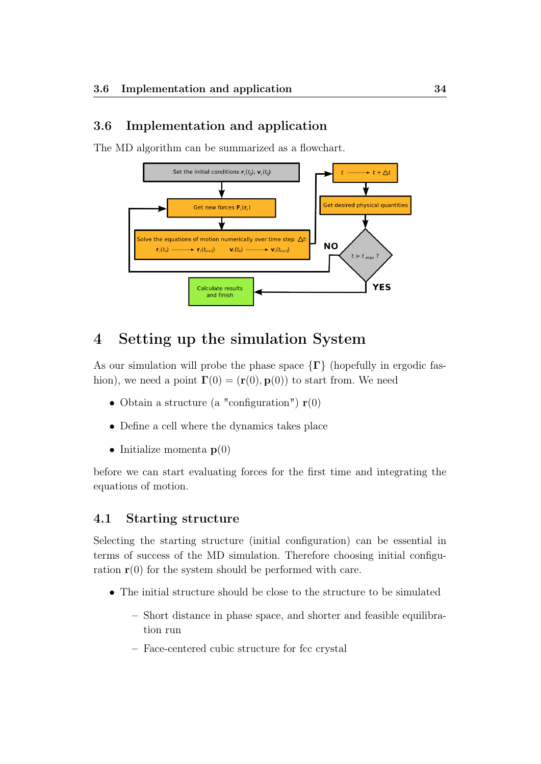# 3.6 Implementation and application

The MD algorithm can be summarized as a flowchart.



# 4 Setting up the simulation System

As our simulation will probe the phase space  $\{\Gamma\}$  (hopefully in ergodic fashion), we need a point  $\mathbf{\Gamma}(0) = (\mathbf{r}(0), \mathbf{p}(0))$  to start from. We need

- Obtain a structure (a "configuration")  $r(0)$
- Define a cell where the dynamics takes place
- Initialize momenta  $p(0)$

before we can start evaluating forces for the first time and integrating the equations of motion.

## 4.1 Starting structure

Selecting the starting structure (initial configuration) can be essential in terms of success of the MD simulation. Therefore choosing initial configuration  $r(0)$  for the system should be performed with care.

- The initial structure should be close to the structure to be simulated
	- Short distance in phase space, and shorter and feasible equilibration run
	- Face-centered cubic structure for fcc crystal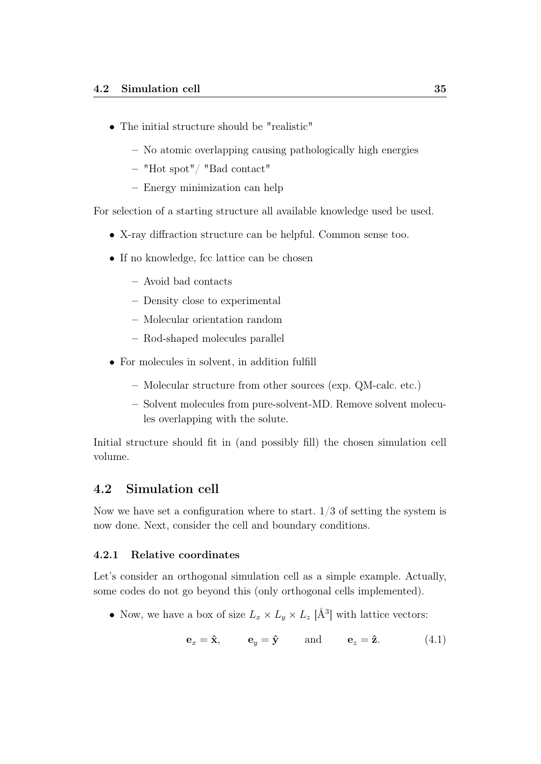- The initial structure should be "realistic"
	- No atomic overlapping causing pathologically high energies
	- "Hot spot"/ "Bad contact"
	- Energy minimization can help

For selection of a starting structure all available knowledge used be used.

- X-ray diffraction structure can be helpful. Common sense too.
- If no knowledge, fcc lattice can be chosen
	- Avoid bad contacts
	- Density close to experimental
	- Molecular orientation random
	- Rod-shaped molecules parallel
- For molecules in solvent, in addition fulfill
	- Molecular structure from other sources (exp. QM-calc. etc.)
	- Solvent molecules from pure-solvent-MD. Remove solvent molecules overlapping with the solute.

Initial structure should fit in (and possibly fill) the chosen simulation cell volume.

#### 4.2 Simulation cell

Now we have set a configuration where to start.  $1/3$  of setting the system is now done. Next, consider the cell and boundary conditions.

#### 4.2.1 Relative coordinates

Let's consider an orthogonal simulation cell as a simple example. Actually, some codes do not go beyond this (only orthogonal cells implemented).

• Now, we have a box of size  $L_x \times L_y \times L_z$  [Å<sup>3</sup>] with lattice vectors:

$$
\mathbf{e}_x = \hat{\mathbf{x}}, \qquad \mathbf{e}_y = \hat{\mathbf{y}} \qquad \text{and} \qquad \mathbf{e}_z = \hat{\mathbf{z}}. \tag{4.1}
$$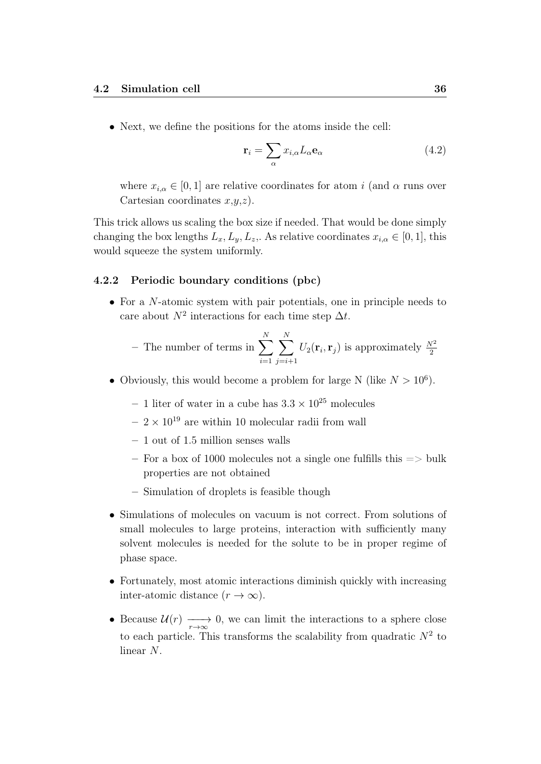• Next, we define the positions for the atoms inside the cell:

$$
\mathbf{r}_{i} = \sum_{\alpha} x_{i,\alpha} L_{\alpha} \mathbf{e}_{\alpha} \tag{4.2}
$$

where  $x_{i,\alpha} \in [0,1]$  are relative coordinates for atom i (and  $\alpha$  runs over Cartesian coordinates  $x,y,z$ ).

This trick allows us scaling the box size if needed. That would be done simply changing the box lengths  $L_x, L_y, L_z$ . As relative coordinates  $x_{i,\alpha} \in [0,1]$ , this would squeeze the system uniformly.

#### 4.2.2 Periodic boundary conditions (pbc)

• For a N-atomic system with pair potentials, one in principle needs to care about  $N^2$  interactions for each time step  $\Delta t$ .

- The number of terms in 
$$
\sum_{i=1}^{N} \sum_{j=i+1}^{N} U_2(\mathbf{r}_i, \mathbf{r}_j)
$$
 is approximately  $\frac{N^2}{2}$ 

- Obviously, this would become a problem for large N (like  $N > 10^6$ ).
	- 1 liter of water in a cube has  $3.3 \times 10^{25}$  molecules
	- $2 \times 10^{19}$  are within 10 molecular radii from wall
	- $-1$  out of 1.5 million senses walls
	- For a box of 1000 molecules not a single one fulfills this  $\Rightarrow$  bulk properties are not obtained
	- Simulation of droplets is feasible though
- Simulations of molecules on vacuum is not correct. From solutions of small molecules to large proteins, interaction with sufficiently many solvent molecules is needed for the solute to be in proper regime of phase space.
- Fortunately, most atomic interactions diminish quickly with increasing inter-atomic distance  $(r \to \infty)$ .
- Because  $\mathcal{U}(r) \longrightarrow 0$ , we can limit the interactions to a sphere close to each particle. This transforms the scalability from quadratic  $N^2$  to linear N.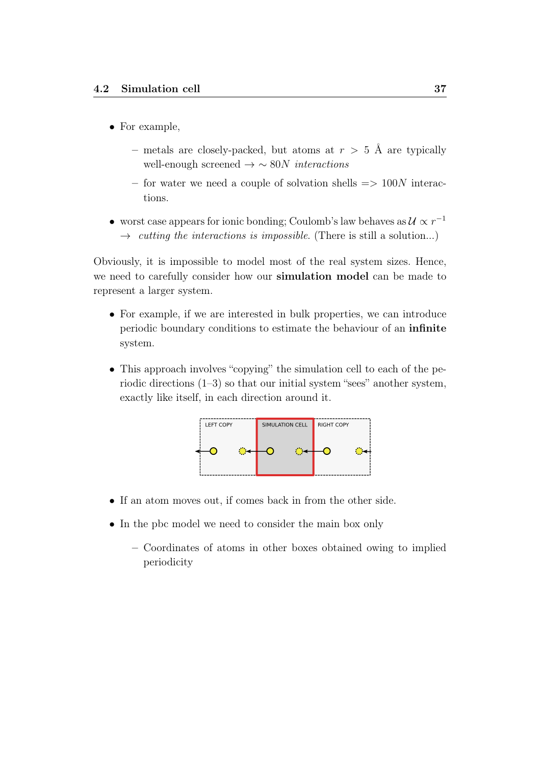- For example,
	- metals are closely-packed, but atoms at  $r > 5$  Å are typically well-enough screened  $\rightarrow \sim 80N$  interactions
	- for water we need a couple of solvation shells  $\Rightarrow$  100N interactions.
- worst case appears for ionic bonding; Coulomb's law behaves as  $\mathcal{U} \propto r^{-1}$  $\rightarrow$  cutting the interactions is impossible. (There is still a solution...)

Obviously, it is impossible to model most of the real system sizes. Hence, we need to carefully consider how our simulation model can be made to represent a larger system.

- For example, if we are interested in bulk properties, we can introduce periodic boundary conditions to estimate the behaviour of an infinite system.
- This approach involves "copying" the simulation cell to each of the periodic directions (1–3) so that our initial system "sees" another system, exactly like itself, in each direction around it.



- If an atom moves out, if comes back in from the other side.
- In the pbc model we need to consider the main box only
	- Coordinates of atoms in other boxes obtained owing to implied periodicity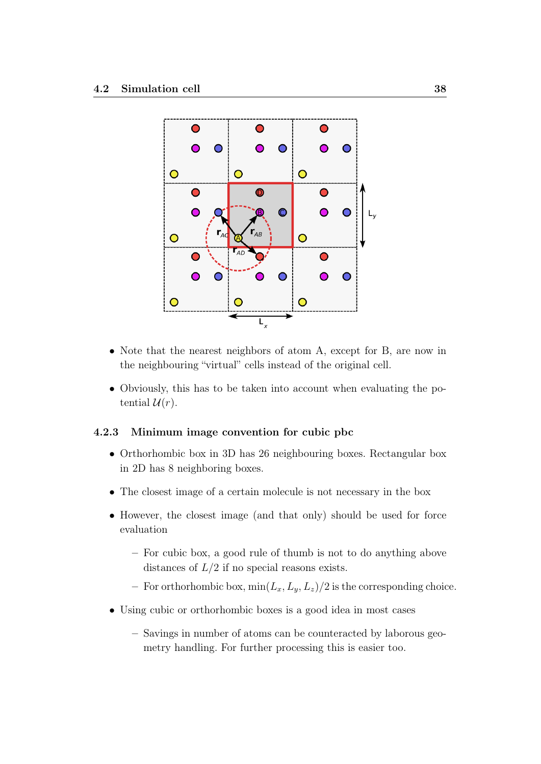

- Note that the nearest neighbors of atom A, except for B, are now in the neighbouring "virtual" cells instead of the original cell.
- Obviously, this has to be taken into account when evaluating the potential  $\mathcal{U}(r)$ .

#### 4.2.3 Minimum image convention for cubic pbc

- Orthorhombic box in 3D has 26 neighbouring boxes. Rectangular box in 2D has 8 neighboring boxes.
- The closest image of a certain molecule is not necessary in the box
- However, the closest image (and that only) should be used for force evaluation
	- For cubic box, a good rule of thumb is not to do anything above distances of  $L/2$  if no special reasons exists.
	- For orthorhombic box,  $\min(L_x, L_y, L_z)/2$  is the corresponding choice.
- Using cubic or orthorhombic boxes is a good idea in most cases
	- Savings in number of atoms can be counteracted by laborous geometry handling. For further processing this is easier too.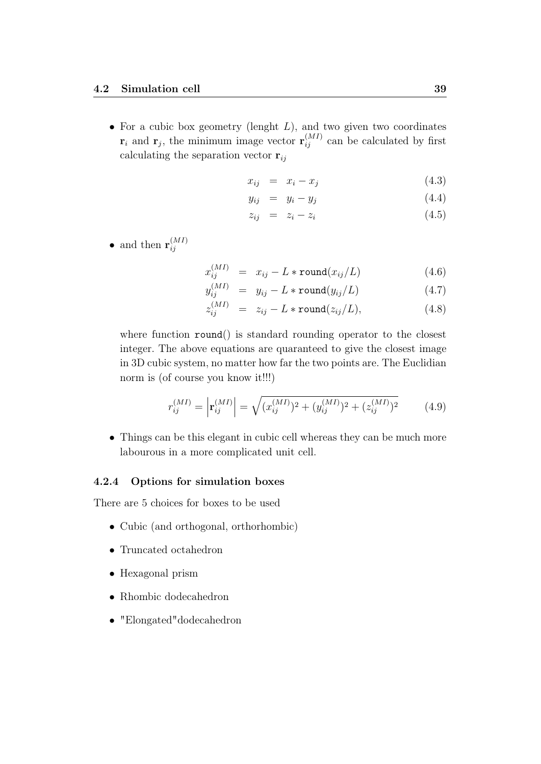• For a cubic box geometry (lenght  $L$ ), and two given two coordinates  $\mathbf{r}_i$  and  $\mathbf{r}_j$ , the minimum image vector  $\mathbf{r}_{ij}^{(MI)}$  can be calculated by first calculating the separation vector  $r_{ij}$ 

$$
x_{ij} = x_i - x_j \tag{4.3}
$$

$$
y_{ij} = y_i - y_j \tag{4.4}
$$

$$
z_{ij} = z_i - z_i \tag{4.5}
$$

• and then  $\mathbf{r}_{ii}^{(MI)}$ ij

$$
x_{ij}^{(MI)} = x_{ij} - L * \text{round}(x_{ij}/L) \tag{4.6}
$$

$$
y_{ij}^{(MI)} = y_{ij} - L * \text{round}(y_{ij}/L) \tag{4.7}
$$

$$
z_{ij}^{(MI)} = z_{ij} - L * \text{round}(z_{ij}/L), \qquad (4.8)
$$

where function round() is standard rounding operator to the closest integer. The above equations are quaranteed to give the closest image in 3D cubic system, no matter how far the two points are. The Euclidian norm is (of course you know it!!!)

$$
r_{ij}^{(MI)} = \left| \mathbf{r}_{ij}^{(MI)} \right| = \sqrt{(x_{ij}^{(MI)})^2 + (y_{ij}^{(MI)})^2 + (z_{ij}^{(MI)})^2}
$$
(4.9)

• Things can be this elegant in cubic cell whereas they can be much more labourous in a more complicated unit cell.

#### 4.2.4 Options for simulation boxes

There are 5 choices for boxes to be used

- Cubic (and orthogonal, orthorhombic)
- Truncated octahedron
- Hexagonal prism
- Rhombic dodecahedron
- "Elongated"dodecahedron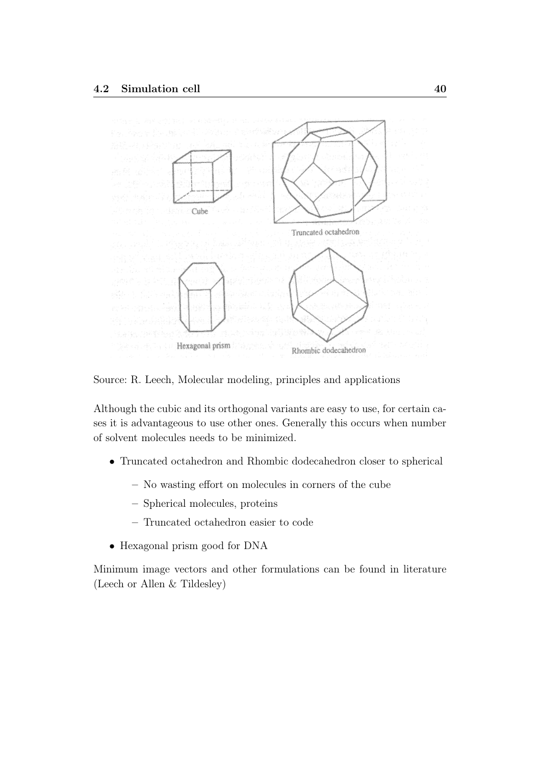

Source: R. Leech, Molecular modeling, principles and applications

Although the cubic and its orthogonal variants are easy to use, for certain cases it is advantageous to use other ones. Generally this occurs when number of solvent molecules needs to be minimized.

- Truncated octahedron and Rhombic dodecahedron closer to spherical
	- No wasting effort on molecules in corners of the cube
	- Spherical molecules, proteins
	- Truncated octahedron easier to code
- Hexagonal prism good for DNA

Minimum image vectors and other formulations can be found in literature (Leech or Allen & Tildesley)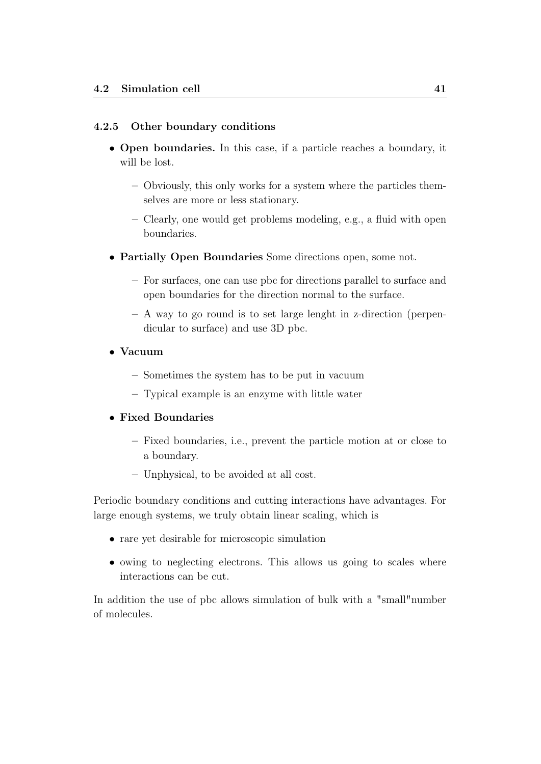#### 4.2.5 Other boundary conditions

- Open boundaries. In this case, if a particle reaches a boundary, it will be lost.
	- Obviously, this only works for a system where the particles themselves are more or less stationary.
	- Clearly, one would get problems modeling, e.g., a fluid with open boundaries.
- Partially Open Boundaries Some directions open, some not.
	- For surfaces, one can use pbc for directions parallel to surface and open boundaries for the direction normal to the surface.
	- A way to go round is to set large lenght in z-direction (perpendicular to surface) and use 3D pbc.
- Vacuum
	- Sometimes the system has to be put in vacuum
	- Typical example is an enzyme with little water

#### • Fixed Boundaries

- Fixed boundaries, i.e., prevent the particle motion at or close to a boundary.
- Unphysical, to be avoided at all cost.

Periodic boundary conditions and cutting interactions have advantages. For large enough systems, we truly obtain linear scaling, which is

- rare yet desirable for microscopic simulation
- owing to neglecting electrons. This allows us going to scales where interactions can be cut.

In addition the use of pbc allows simulation of bulk with a "small"number of molecules.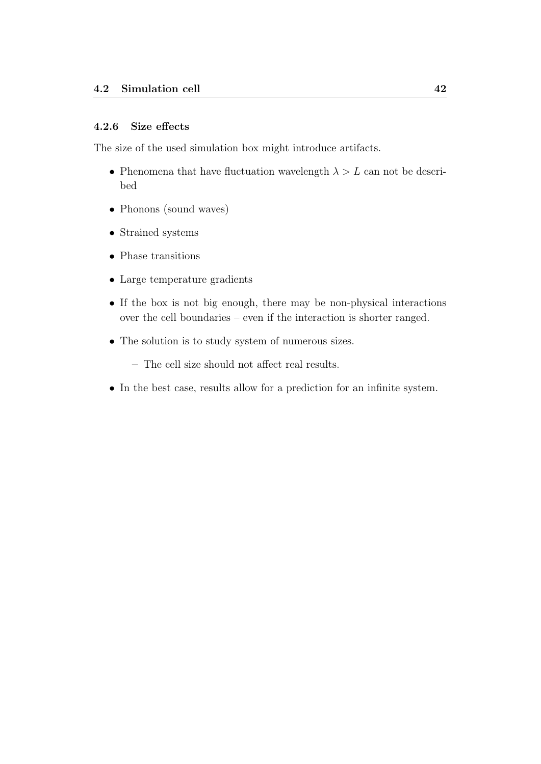#### 4.2.6 Size effects

The size of the used simulation box might introduce artifacts.

- Phenomena that have fluctuation wavelength  $\lambda > L$  can not be described
- Phonons (sound waves)
- Strained systems
- Phase transitions
- Large temperature gradients
- If the box is not big enough, there may be non-physical interactions over the cell boundaries – even if the interaction is shorter ranged.
- The solution is to study system of numerous sizes.
	- The cell size should not affect real results.
- In the best case, results allow for a prediction for an infinite system.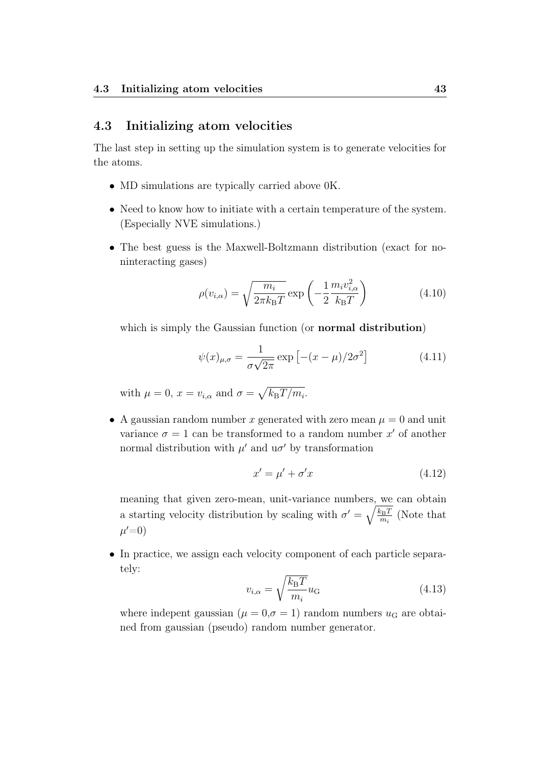## 4.3 Initializing atom velocities

The last step in setting up the simulation system is to generate velocities for the atoms.

- MD simulations are typically carried above 0K.
- Need to know how to initiate with a certain temperature of the system. (Especially NVE simulations.)
- The best guess is the Maxwell-Boltzmann distribution (exact for noninteracting gases)

$$
\rho(v_{i,\alpha}) = \sqrt{\frac{m_i}{2\pi k_\text{B}T}} \exp\left(-\frac{1}{2}\frac{m_i v_{i,\alpha}^2}{k_\text{B}T}\right) \tag{4.10}
$$

which is simply the Gaussian function (or **normal distribution**)

$$
\psi(x)_{\mu,\sigma} = \frac{1}{\sigma\sqrt{2\pi}} \exp\left[-(x-\mu)/2\sigma^2\right]
$$
\n(4.11)

with  $\mu = 0$ ,  $x = v_{i,\alpha}$  and  $\sigma = \sqrt{k_{\rm B}T/m_i}$ .

• A gaussian random number x generated with zero mean  $\mu = 0$  and unit variance  $\sigma = 1$  can be transformed to a random number  $x'$  of another normal distribution with  $\mu'$  and  $u\sigma'$  by transformation

$$
x' = \mu' + \sigma' x \tag{4.12}
$$

meaning that given zero-mean, unit-variance numbers, we can obtain a starting velocity distribution by scaling with  $\sigma' = \sqrt{\frac{k_B T}{m}}$  $\frac{k_{\rm B}T}{m_i}$  (Note that  $\mu' = 0$ 

• In practice, we assign each velocity component of each particle separately:

$$
v_{i,\alpha} = \sqrt{\frac{k_{\rm B}T}{m_i}} u_{\rm G}
$$
\n(4.13)

where indepent gaussian ( $\mu = 0, \sigma = 1$ ) random numbers  $u_G$  are obtained from gaussian (pseudo) random number generator.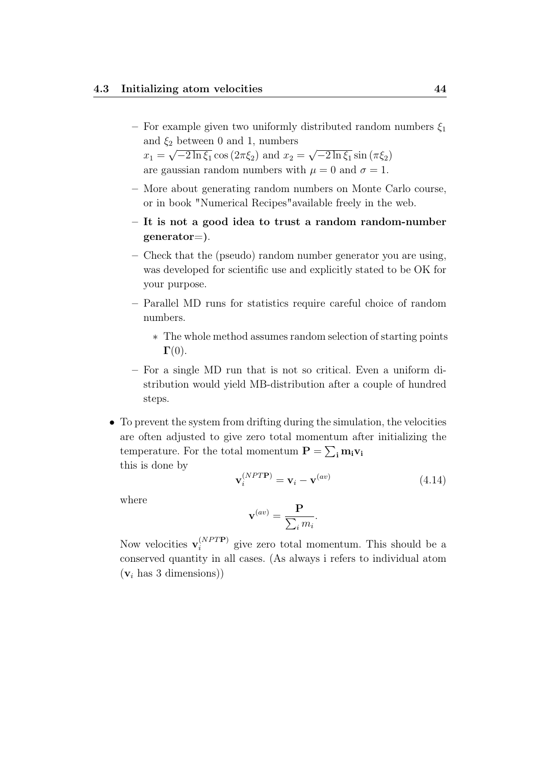- For example given two uniformly distributed random numbers  $\xi_1$ and  $\xi_2$  between 0 and 1, numbers  $x_1 =$ √  $\sqrt{-2\ln \xi_1} \cos (2\pi \xi_2)$  and  $x_2 =$ √  $\sqrt{-2\ln \xi_1} \sin \left( \pi \xi_2 \right)$ are gaussian random numbers with  $\mu = 0$  and  $\sigma = 1$ .
- More about generating random numbers on Monte Carlo course, or in book "Numerical Recipes"available freely in the web.
- It is not a good idea to trust a random random-number generator=).
- Check that the (pseudo) random number generator you are using, was developed for scientific use and explicitly stated to be OK for your purpose.
- Parallel MD runs for statistics require careful choice of random numbers.
	- ∗ The whole method assumes random selection of starting points  $\Gamma(0)$ .
- For a single MD run that is not so critical. Even a uniform distribution would yield MB-distribution after a couple of hundred steps.
- To prevent the system from drifting during the simulation, the velocities are often adjusted to give zero total momentum after initializing the temperature. For the total momentum  $\mathbf{P} = \sum_{i} \mathbf{m}_i \mathbf{v}_i$ this is done by

$$
\mathbf{v}_i^{(NPT\mathbf{P})} = \mathbf{v}_i - \mathbf{v}^{(av)} \tag{4.14}
$$

.

where

$$
\mathbf{v}^{(av)} = \frac{\mathbf{P}}{\sum_i m_i}
$$

Now velocities  $\mathbf{v}_i^{(NPTP)}$  $i^{(N+1)}$  give zero total momentum. This should be a conserved quantity in all cases. (As always i refers to individual atom  $(v<sub>i</sub>$  has 3 dimensions))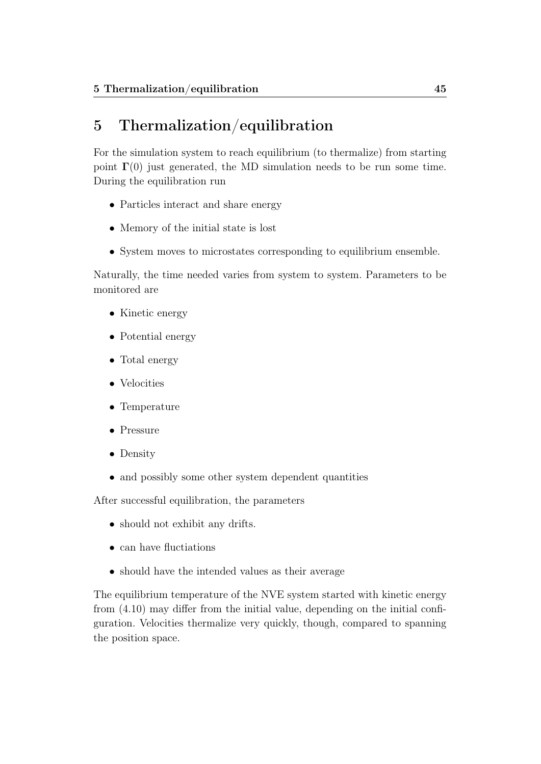# 5 Thermalization/equilibration

For the simulation system to reach equilibrium (to thermalize) from starting point  $\Gamma(0)$  just generated, the MD simulation needs to be run some time. During the equilibration run

- Particles interact and share energy
- Memory of the initial state is lost
- System moves to microstates corresponding to equilibrium ensemble.

Naturally, the time needed varies from system to system. Parameters to be monitored are

- Kinetic energy
- Potential energy
- Total energy
- Velocities
- Temperature
- Pressure
- Density
- and possibly some other system dependent quantities

After successful equilibration, the parameters

- should not exhibit any drifts.
- can have fluctiations
- should have the intended values as their average

The equilibrium temperature of the NVE system started with kinetic energy from (4.10) may differ from the initial value, depending on the initial configuration. Velocities thermalize very quickly, though, compared to spanning the position space.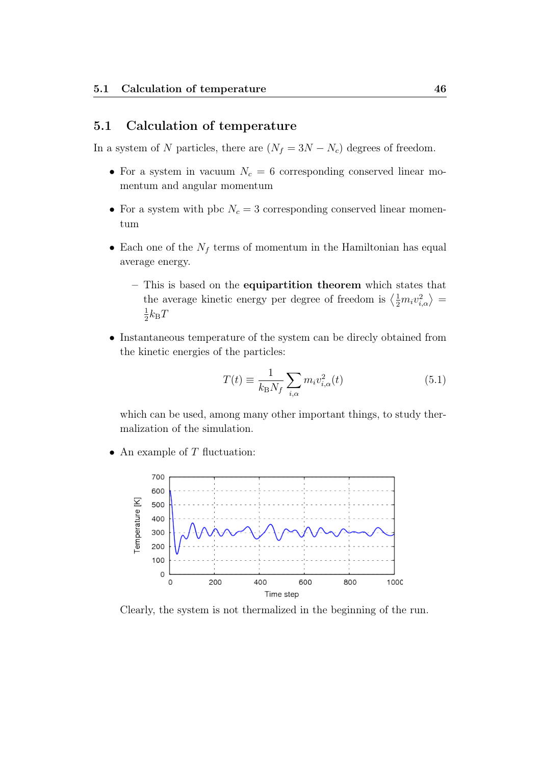## 5.1 Calculation of temperature

In a system of N particles, there are  $(N_f = 3N - N_c)$  degrees of freedom.

- For a system in vacuum  $N_c = 6$  corresponding conserved linear momentum and angular momentum
- For a system with pbc  $N_c = 3$  corresponding conserved linear momentum
- Each one of the  $N_f$  terms of momentum in the Hamiltonian has equal average energy.
	- This is based on the equipartition theorem which states that the average kinetic energy per degree of freedom is  $\langle \frac{1}{2} m_i v_{i,\alpha}^2 \rangle =$ 1  $\frac{1}{2}k_{\rm B}T$
- Instantaneous temperature of the system can be direcly obtained from the kinetic energies of the particles:

$$
T(t) \equiv \frac{1}{k_{\rm B} N_f} \sum_{i,\alpha} m_i v_{i,\alpha}^2(t)
$$
\n(5.1)

which can be used, among many other important things, to study thermalization of the simulation.

• An example of  $T$  fluctuation:



Clearly, the system is not thermalized in the beginning of the run.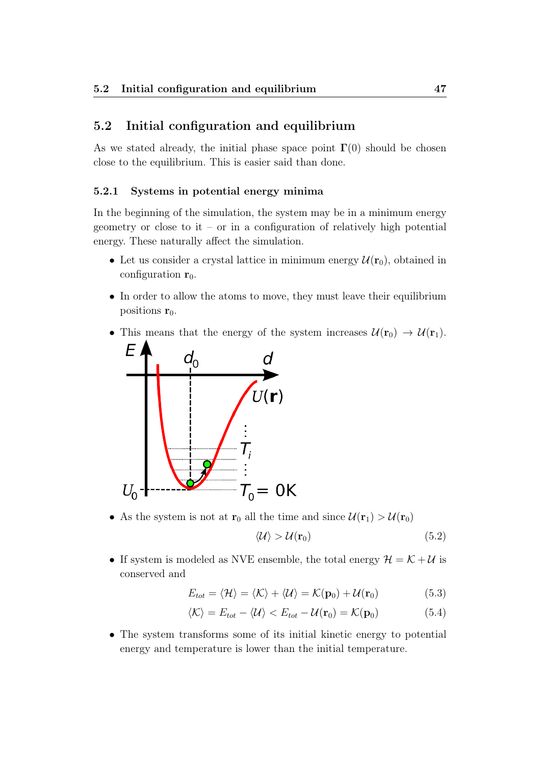## 5.2 Initial configuration and equilibrium

As we stated already, the initial phase space point  $\Gamma(0)$  should be chosen close to the equilibrium. This is easier said than done.

#### 5.2.1 Systems in potential energy minima

In the beginning of the simulation, the system may be in a minimum energy geometry or close to it – or in a configuration of relatively high potential energy. These naturally affect the simulation.

- Let us consider a crystal lattice in minimum energy  $\mathcal{U}(\mathbf{r}_0)$ , obtained in configuration  $r_0$ .
- In order to allow the atoms to move, they must leave their equilibrium positions  $r_0$ .
- This means that the energy of the system increases  $\mathcal{U}(\mathbf{r}_0) \to \mathcal{U}(\mathbf{r}_1)$ .



• As the system is not at  $r_0$  all the time and since  $\mathcal{U}(r_1) > \mathcal{U}(r_0)$ 

$$
\langle \mathcal{U} \rangle > \mathcal{U}(\mathbf{r}_0) \tag{5.2}
$$

• If system is modeled as NVE ensemble, the total energy  $\mathcal{H} = \mathcal{K} + \mathcal{U}$  is conserved and

$$
E_{tot} = \langle \mathcal{H} \rangle = \langle \mathcal{K} \rangle + \langle \mathcal{U} \rangle = \mathcal{K}(\mathbf{p}_0) + \mathcal{U}(\mathbf{r}_0)
$$
(5.3)

$$
\langle \mathcal{K} \rangle = E_{tot} - \langle \mathcal{U} \rangle < E_{tot} - \mathcal{U}(\mathbf{r}_0) = \mathcal{K}(\mathbf{p}_0) \tag{5.4}
$$

• The system transforms some of its initial kinetic energy to potential energy and temperature is lower than the initial temperature.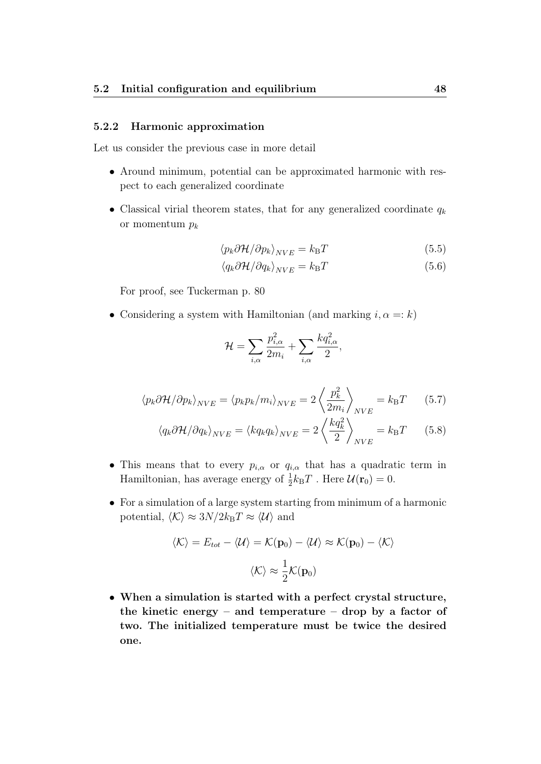#### 5.2.2 Harmonic approximation

Let us consider the previous case in more detail

- Around minimum, potential can be approximated harmonic with respect to each generalized coordinate
- Classical virial theorem states, that for any generalized coordinate  $q_k$ or momentum  $p_k$

$$
\langle p_k \partial \mathcal{H} / \partial p_k \rangle_{NVE} = k_B T \tag{5.5}
$$

$$
\langle q_k \partial \mathcal{H} / \partial q_k \rangle_{NVE} = k_B T \tag{5.6}
$$

For proof, see Tuckerman p. 80

• Considering a system with Hamiltonian (and marking  $i, \alpha =: k$ )

$$
\mathcal{H} = \sum_{i,\alpha} \frac{p_{i,\alpha}^2}{2m_i} + \sum_{i,\alpha} \frac{kq_{i,\alpha}^2}{2},
$$

$$
\langle p_k \partial \mathcal{H} / \partial p_k \rangle_{NVE} = \langle p_k p_k / m_i \rangle_{NVE} = 2 \left\langle \frac{p_k^2}{2m_i} \right\rangle_{NVE} = k_B T \qquad (5.7)
$$

$$
\langle q_k \partial \mathcal{H} / \partial q_k \rangle_{NVE} = \langle k q_k q_k \rangle_{NVE} = 2 \left\langle \frac{k q_k^2}{2} \right\rangle_{NVE} = k_{\text{B}} T \qquad (5.8)
$$

- This means that to every  $p_{i,\alpha}$  or  $q_{i,\alpha}$  that has a quadratic term in Hamiltonian, has average energy of  $\frac{1}{2}k_{\text{B}}T$ . Here  $\mathcal{U}(\mathbf{r}_0) = 0$ .
- For a simulation of a large system starting from minimum of a harmonic potential,  $\langle K \rangle \approx 3N/2k_{\rm B}T \approx \langle U \rangle$  and

$$
\langle K \rangle = E_{tot} - \langle U \rangle = \mathcal{K}(\mathbf{p}_0) - \langle U \rangle \approx \mathcal{K}(\mathbf{p}_0) - \langle \mathcal{K} \rangle
$$

$$
\langle \mathcal{K} \rangle \approx \frac{1}{2} \mathcal{K}(\mathbf{p}_0)
$$

• When a simulation is started with a perfect crystal structure, the kinetic energy – and temperature – drop by a factor of two. The initialized temperature must be twice the desired one.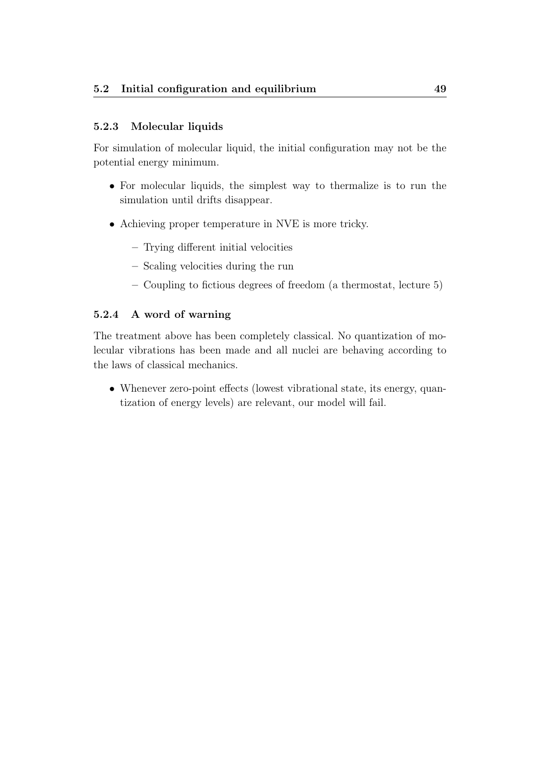# 5.2.3 Molecular liquids

For simulation of molecular liquid, the initial configuration may not be the potential energy minimum.

- For molecular liquids, the simplest way to thermalize is to run the simulation until drifts disappear.
- Achieving proper temperature in NVE is more tricky.
	- Trying different initial velocities
	- Scaling velocities during the run
	- Coupling to fictious degrees of freedom (a thermostat, lecture 5)

## 5.2.4 A word of warning

The treatment above has been completely classical. No quantization of molecular vibrations has been made and all nuclei are behaving according to the laws of classical mechanics.

• Whenever zero-point effects (lowest vibrational state, its energy, quantization of energy levels) are relevant, our model will fail.